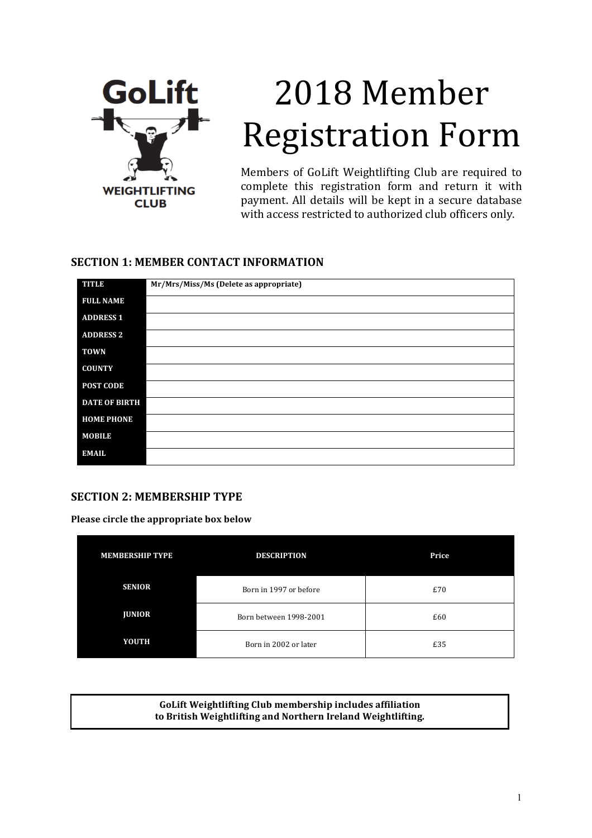

# 2018 Member **Registration Form**

Members of GoLift Weightlifting Club are required to complete this registration form and return it with payment. All details will be kept in a secure database with access restricted to authorized club officers only.

# **SECTION 1: MEMBER CONTACT INFORMATION**

| TITLE                | Mr/Mrs/Miss/Ms (Delete as appropriate) |
|----------------------|----------------------------------------|
| <b>FULL NAME</b>     |                                        |
| <b>ADDRESS 1</b>     |                                        |
| <b>ADDRESS 2</b>     |                                        |
| <b>TOWN</b>          |                                        |
| <b>COUNTY</b>        |                                        |
| POST CODE            |                                        |
| <b>DATE OF BIRTH</b> |                                        |
| <b>HOME PHONE</b>    |                                        |
| <b>MOBILE</b>        |                                        |
| <b>EMAIL</b>         |                                        |

# **SECTION 2: MEMBERSHIP TYPE**

**Please circle the appropriate box below** 

| <b>MEMBERSHIP TYPE</b> | <b>DESCRIPTION</b>     | Price |
|------------------------|------------------------|-------|
| <b>SENIOR</b>          | Born in 1997 or before | £70   |
| <b>JUNIOR</b>          | Born between 1998-2001 | £60   |
| <b>YOUTH</b>           | Born in 2002 or later  | £35   |

**GoLift Weightlifting Club membership includes affiliation** to British Weightlifting and Northern Ireland Weightlifting.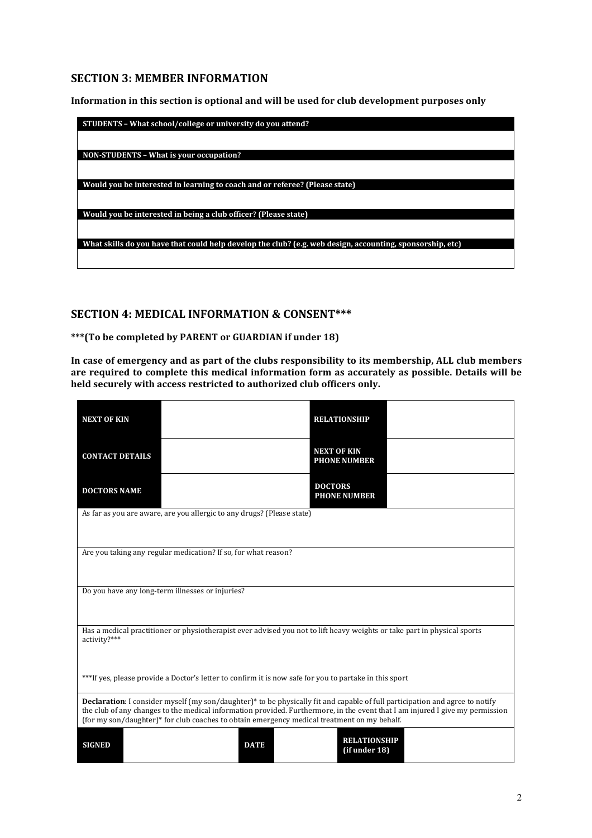# **SECTION 3: MEMBER INFORMATION**

Information in this section is optional and will be used for club development purposes only

| STUDENTS - What school/college or university do you attend?                                               |
|-----------------------------------------------------------------------------------------------------------|
|                                                                                                           |
| NON-STUDENTS – What is your occupation?                                                                   |
|                                                                                                           |
| Would you be interested in learning to coach and or referee? (Please state)                               |
|                                                                                                           |
| Would you be interested in being a club officer? (Please state)                                           |
|                                                                                                           |
| What skills do you have that could help develop the club? (e.g. web design, accounting, sponsorship, etc) |
|                                                                                                           |
|                                                                                                           |

#### **SECTION 4: MEDICAL INFORMATION & CONSENT\*\*\***

\*\*\*(To be completed by PARENT or GUARDIAN if under 18)

In case of emergency and as part of the clubs responsibility to its membership, ALL club members are required to complete this medical information form as accurately as possible. Details will be held securely with access restricted to authorized club officers only.

| <b>NEXT OF KIN</b>                                                                                                                                                                                                                                                                                                                                                              |                                                                        | <b>RELATIONSHIP</b>                                                                                                      |  |
|---------------------------------------------------------------------------------------------------------------------------------------------------------------------------------------------------------------------------------------------------------------------------------------------------------------------------------------------------------------------------------|------------------------------------------------------------------------|--------------------------------------------------------------------------------------------------------------------------|--|
| <b>CONTACT DETAILS</b>                                                                                                                                                                                                                                                                                                                                                          |                                                                        | <b>NEXT OF KIN</b><br><b>PHONE NUMBER</b>                                                                                |  |
| <b>DOCTORS NAME</b>                                                                                                                                                                                                                                                                                                                                                             |                                                                        | <b>DOCTORS</b><br><b>PHONE NUMBER</b>                                                                                    |  |
|                                                                                                                                                                                                                                                                                                                                                                                 | As far as you are aware, are you allergic to any drugs? (Please state) |                                                                                                                          |  |
|                                                                                                                                                                                                                                                                                                                                                                                 | Are you taking any regular medication? If so, for what reason?         |                                                                                                                          |  |
|                                                                                                                                                                                                                                                                                                                                                                                 | Do you have any long-term illnesses or injuries?                       |                                                                                                                          |  |
| activity?***                                                                                                                                                                                                                                                                                                                                                                    |                                                                        | Has a medical practitioner or physiotherapist ever advised you not to lift heavy weights or take part in physical sports |  |
| ***If yes, please provide a Doctor's letter to confirm it is now safe for you to partake in this sport                                                                                                                                                                                                                                                                          |                                                                        |                                                                                                                          |  |
| <b>Declaration:</b> I consider myself (my son/daughter) <sup>*</sup> to be physically fit and capable of full participation and agree to notify<br>the club of any changes to the medical information provided. Furthermore, in the event that I am injured I give my permission<br>(for my son/daughter)* for club coaches to obtain emergency medical treatment on my behalf. |                                                                        |                                                                                                                          |  |
| <b>SIGNED</b>                                                                                                                                                                                                                                                                                                                                                                   | <b>DATE</b>                                                            | <b>RELATIONSHIP</b><br>(if under 18)                                                                                     |  |